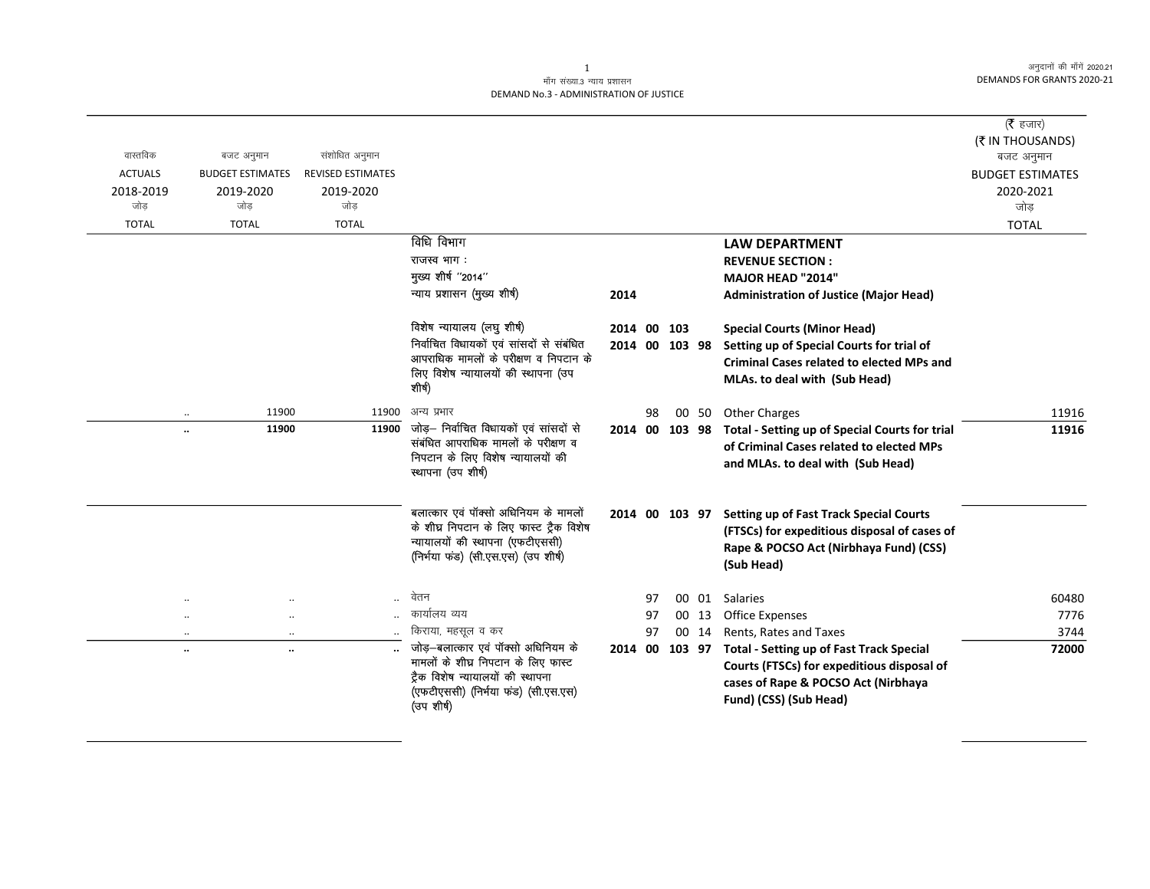#### $\mathbf{1}$ माँग संख्या.3 न्याय प्रशासन DEMAND No.3 - ADMINISTRATION OF JUSTICE

|                |                         |                          |                                                                              |                |    |        |       |                                                  | ( $\bar{\tau}$ हजार)                  |
|----------------|-------------------------|--------------------------|------------------------------------------------------------------------------|----------------|----|--------|-------|--------------------------------------------------|---------------------------------------|
| वास्तविक       | बजट अनुमान              | संशोधित अनुमान           |                                                                              |                |    |        |       |                                                  | (₹ IN THOUSANDS)                      |
| <b>ACTUALS</b> | <b>BUDGET ESTIMATES</b> | <b>REVISED ESTIMATES</b> |                                                                              |                |    |        |       |                                                  | बजट अनुमान<br><b>BUDGET ESTIMATES</b> |
| 2018-2019      | 2019-2020               | 2019-2020                |                                                                              |                |    |        |       |                                                  | 2020-2021                             |
| जोड            | जोड                     | जोड                      |                                                                              |                |    |        |       |                                                  | जोड                                   |
| <b>TOTAL</b>   | <b>TOTAL</b>            | <b>TOTAL</b>             |                                                                              |                |    |        |       |                                                  | <b>TOTAL</b>                          |
|                |                         |                          | विधि विभाग                                                                   |                |    |        |       | <b>LAW DEPARTMENT</b>                            |                                       |
|                |                         |                          | राजस्व भाग:                                                                  |                |    |        |       | <b>REVENUE SECTION:</b>                          |                                       |
|                |                         |                          | मुख्य शीर्ष "2014"                                                           |                |    |        |       | <b>MAJOR HEAD "2014"</b>                         |                                       |
|                |                         |                          | न्याय प्रशासन (मुख्य शीर्ष)                                                  | 2014           |    |        |       | <b>Administration of Justice (Major Head)</b>    |                                       |
|                |                         |                          |                                                                              |                |    |        |       |                                                  |                                       |
|                |                         |                          | विशेष न्यायालय (लघु शीर्ष)                                                   | 2014 00 103    |    |        |       | <b>Special Courts (Minor Head)</b>               |                                       |
|                |                         |                          | निर्वाचित विधायको एवं सांसदों से संबंधित                                     | 2014 00 103 98 |    |        |       | Setting up of Special Courts for trial of        |                                       |
|                |                         |                          | आपराधिक मामलों के परीक्षण व निपटान के                                        |                |    |        |       | <b>Criminal Cases related to elected MPs and</b> |                                       |
|                |                         |                          | लिए विशेष न्यायालयों की स्थापना (उप                                          |                |    |        |       | MLAs. to deal with (Sub Head)                    |                                       |
|                |                         |                          | शीर्ष)                                                                       |                |    |        |       |                                                  |                                       |
|                | 11900                   | 11900                    | अन्य प्रभार                                                                  |                | 98 |        | 00 50 | <b>Other Charges</b>                             | 11916                                 |
| $\ddotsc$      | 11900                   | 11900                    | जोड़— निर्वाचित विधायकों एवं सांसदों से                                      | 2014 00        |    | 103 98 |       | Total - Setting up of Special Courts for trial   | 11916                                 |
|                |                         |                          | संबंधित आपराधिक मामलों के परीक्षण व                                          |                |    |        |       | of Criminal Cases related to elected MPs         |                                       |
|                |                         |                          | निपटान के लिए विशेष न्यायालयों की                                            |                |    |        |       | and MLAs. to deal with (Sub Head)                |                                       |
|                |                         |                          | स्थापना (उप शीर्ष)                                                           |                |    |        |       |                                                  |                                       |
|                |                         |                          |                                                                              |                |    |        |       |                                                  |                                       |
|                |                         |                          | बलात्कार एवं पॉक्सो अधिनियम के मामलों                                        | 2014 00 103 97 |    |        |       | <b>Setting up of Fast Track Special Courts</b>   |                                       |
|                |                         |                          | के शीघ्र निपटान के लिए फास्ट ट्रैक विशेष<br>न्यायालयों की स्थापना (एफटीएससी) |                |    |        |       | (FTSCs) for expeditious disposal of cases of     |                                       |
|                |                         |                          | (निर्भया फंड) (सी.एस.एस) (उप शीर्ष)                                          |                |    |        |       | Rape & POCSO Act (Nirbhaya Fund) (CSS)           |                                       |
|                |                         |                          |                                                                              |                |    |        |       | (Sub Head)                                       |                                       |
|                |                         |                          |                                                                              |                |    |        |       |                                                  |                                       |
|                |                         | $\ddotsc$                | वेतन                                                                         |                | 97 |        |       | 00 01 Salaries                                   | 60480                                 |
| $\ddotsc$      |                         |                          | कार्यालय व्यय                                                                |                | 97 |        | 00 13 | <b>Office Expenses</b>                           | 7776                                  |
| $\ddotsc$      | $\cdot$                 |                          | किराया, महसूल व कर                                                           |                | 97 |        | 00 14 | Rents, Rates and Taxes                           | 3744                                  |
| $\ldots$       | $\ddot{\phantom{a}}$    |                          | जोड़–बलात्कार एवं पॉक्सो अधिनियम के<br>मामलों के शीघ्र निपटान के लिए फास्ट   | 2014 00        |    | 103 97 |       | <b>Total - Setting up of Fast Track Special</b>  | 72000                                 |
|                |                         |                          | ट्रैक विशेष न्यायालयों की स्थापना                                            |                |    |        |       | Courts (FTSCs) for expeditious disposal of       |                                       |
|                |                         |                          | (एफटीएससी) (निर्मया फंड) (सी.एस.एस)                                          |                |    |        |       | cases of Rape & POCSO Act (Nirbhaya              |                                       |
|                |                         |                          | (उप शीर्ष)                                                                   |                |    |        |       | Fund) (CSS) (Sub Head)                           |                                       |
|                |                         |                          |                                                                              |                |    |        |       |                                                  |                                       |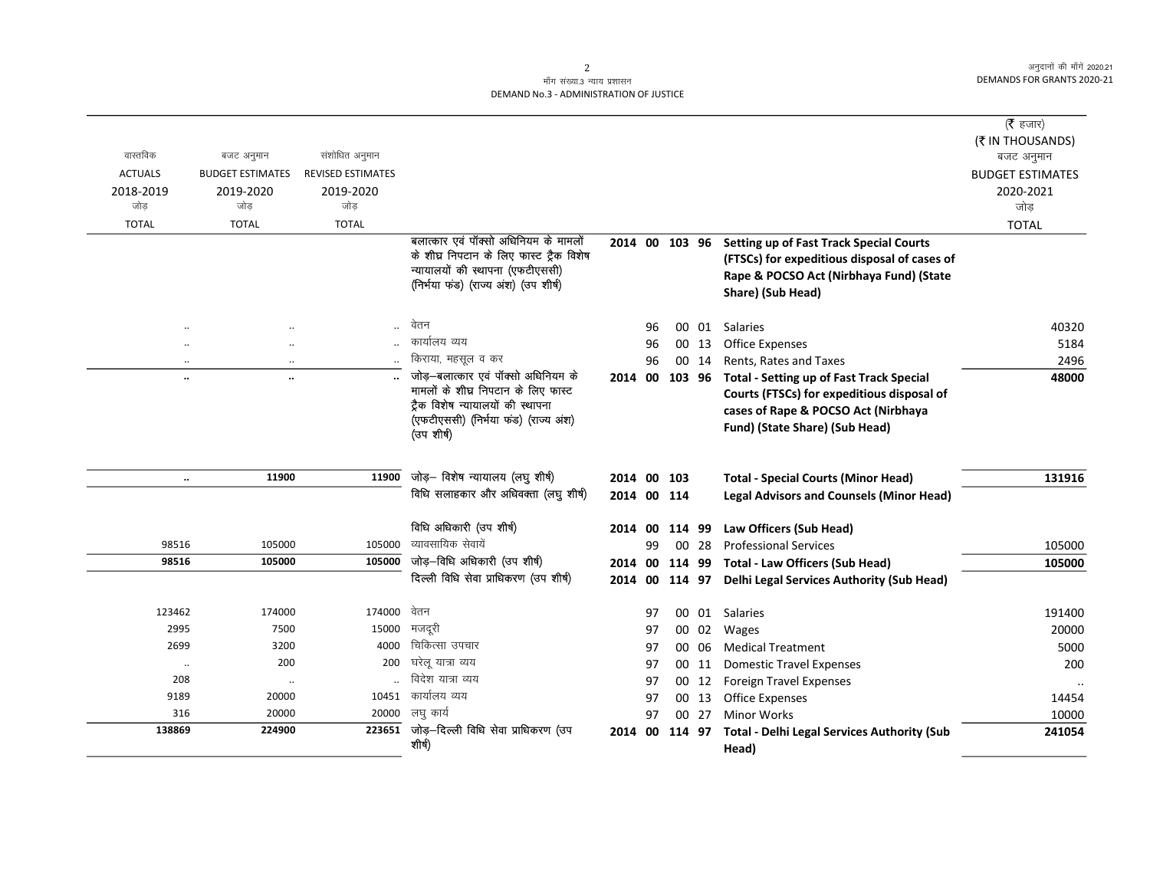## माँग संख्या.3 न्याय प्रशासन DEMAND No.3 - ADMINISTRATION OF JUSTICE

| वास्तविक       | बजट अनुमान              | संशोधित अनुमान           |                                                                           |                |    |           |       |                                                                                               | ( $\bar{\tau}$ हजार)<br>(₹ IN THOUSANDS) |
|----------------|-------------------------|--------------------------|---------------------------------------------------------------------------|----------------|----|-----------|-------|-----------------------------------------------------------------------------------------------|------------------------------------------|
| <b>ACTUALS</b> | <b>BUDGET ESTIMATES</b> | <b>REVISED ESTIMATES</b> |                                                                           |                |    |           |       |                                                                                               | बजट अनुमान                               |
| 2018-2019      | 2019-2020               | 2019-2020                |                                                                           |                |    |           |       |                                                                                               | <b>BUDGET ESTIMATES</b><br>2020-2021     |
| जोड            | जोड                     | जोड                      |                                                                           |                |    |           |       |                                                                                               | जोड़                                     |
| <b>TOTAL</b>   | <b>TOTAL</b>            | <b>TOTAL</b>             |                                                                           |                |    |           |       |                                                                                               | <b>TOTAL</b>                             |
|                |                         |                          | बलात्कार एवं पॉक्सो अधिनियम के मामलों                                     | 2014 00 103 96 |    |           |       | <b>Setting up of Fast Track Special Courts</b>                                                |                                          |
|                |                         |                          | के शीघ्र निपटान के लिए फास्ट ट्रैक विशेष                                  |                |    |           |       | (FTSCs) for expeditious disposal of cases of                                                  |                                          |
|                |                         |                          | न्यायालयों की स्थापना (एफटीएससी)                                          |                |    |           |       | Rape & POCSO Act (Nirbhaya Fund) (State                                                       |                                          |
|                |                         |                          | (निर्भया फंड) (राज्य अंश) (उप शीर्ष)                                      |                |    |           |       | Share) (Sub Head)                                                                             |                                          |
|                |                         |                          |                                                                           |                |    |           |       |                                                                                               |                                          |
|                |                         |                          | वेतन                                                                      |                | 96 |           | 00 01 | Salaries                                                                                      | 40320                                    |
|                |                         |                          | कार्यालय व्यय                                                             |                | 96 |           | 00 13 | <b>Office Expenses</b>                                                                        | 5184                                     |
| $\ddotsc$      | $\ddotsc$               |                          | किराया, महसूल व कर                                                        |                | 96 |           | 00 14 | Rents, Rates and Taxes                                                                        | 2496                                     |
| $\ddotsc$      | $\ddotsc$               |                          | जोड़–बलात्कार एवं पॉक्सो अधिनियम के                                       | 2014 00 103 96 |    |           |       | <b>Total - Setting up of Fast Track Special</b>                                               | 48000                                    |
|                |                         |                          | मामलों के शीघ्र निपटान के लिए फास्ट                                       |                |    |           |       | Courts (FTSCs) for expeditious disposal of                                                    |                                          |
|                |                         |                          | ट्रैक विशेष न्यायालयों की स्थापना<br>(एफटीएससी) (निर्मया फंड) (राज्य अंश) |                |    |           |       | cases of Rape & POCSO Act (Nirbhaya                                                           |                                          |
|                |                         |                          | (उप शीर्ष)                                                                |                |    |           |       | Fund) (State Share) (Sub Head)                                                                |                                          |
|                |                         |                          |                                                                           |                |    |           |       |                                                                                               |                                          |
|                | 11900                   | 11900                    | जोड़- विशेष न्यायालय (लघु शीर्ष)                                          | 2014 00 103    |    |           |       |                                                                                               | 131916                                   |
| $\ddotsc$      |                         |                          | विधि सलाहकार और अधिवक्ता (लघु शीर्ष)                                      | 2014 00 114    |    |           |       | <b>Total - Special Courts (Minor Head)</b><br><b>Legal Advisors and Counsels (Minor Head)</b> |                                          |
|                |                         |                          |                                                                           |                |    |           |       |                                                                                               |                                          |
|                |                         |                          | विधि अधिकारी (उप शीर्ष)                                                   | 2014           |    | 00 114 99 |       | Law Officers (Sub Head)                                                                       |                                          |
| 98516          | 105000                  | 105000                   | व्यावसायिक सेवायें                                                        |                | 99 |           | 00 28 | <b>Professional Services</b>                                                                  | 105000                                   |
| 98516          | 105000                  | 105000                   | जोड़-विधि अधिकारी (उप शीर्ष)                                              |                |    |           |       | 2014 00 114 99 Total - Law Officers (Sub Head)                                                | 105000                                   |
|                |                         |                          | दिल्ली विधि सेवा प्राधिकरण (उप शीर्ष)                                     |                |    |           |       | 2014 00 114 97 Delhi Legal Services Authority (Sub Head)                                      |                                          |
|                |                         |                          |                                                                           |                |    |           |       |                                                                                               |                                          |
| 123462         | 174000                  | 174000                   | वेतन                                                                      |                | 97 |           |       | 00 01 Salaries                                                                                | 191400                                   |
| 2995           | 7500                    | 15000                    | मजदूरी                                                                    |                | 97 |           |       | 00 02 Wages                                                                                   | 20000                                    |
| 2699           | 3200                    | 4000                     | चिकित्सा उपचार                                                            |                | 97 |           | 00 06 | <b>Medical Treatment</b>                                                                      | 5000                                     |
| $\cdot$        | 200                     | 200                      | घरेलू यात्रा व्यय                                                         |                | 97 |           | 00 11 | <b>Domestic Travel Expenses</b>                                                               | 200                                      |
| 208            | $\cdot\cdot$            |                          | विदेश यात्रा व्यय                                                         |                | 97 |           | 00 12 | <b>Foreign Travel Expenses</b>                                                                |                                          |
| 9189           | 20000                   | 10451                    | कार्यालय व्यय                                                             |                | 97 |           | 00 13 | <b>Office Expenses</b>                                                                        | 14454                                    |
| 316            | 20000                   |                          | 20000 लघु कार्य                                                           |                | 97 |           | 00 27 | <b>Minor Works</b>                                                                            | 10000                                    |
| 138869         | 224900                  |                          | $223651$ जोड़-दिल्ली विधि सेवा प्राधिकरण (उप                              | 2014 00        |    | 114 97    |       | <b>Total - Delhi Legal Services Authority (Sub</b>                                            | 241054                                   |
|                |                         |                          | शीर्ष)                                                                    |                |    |           |       | Head)                                                                                         |                                          |

2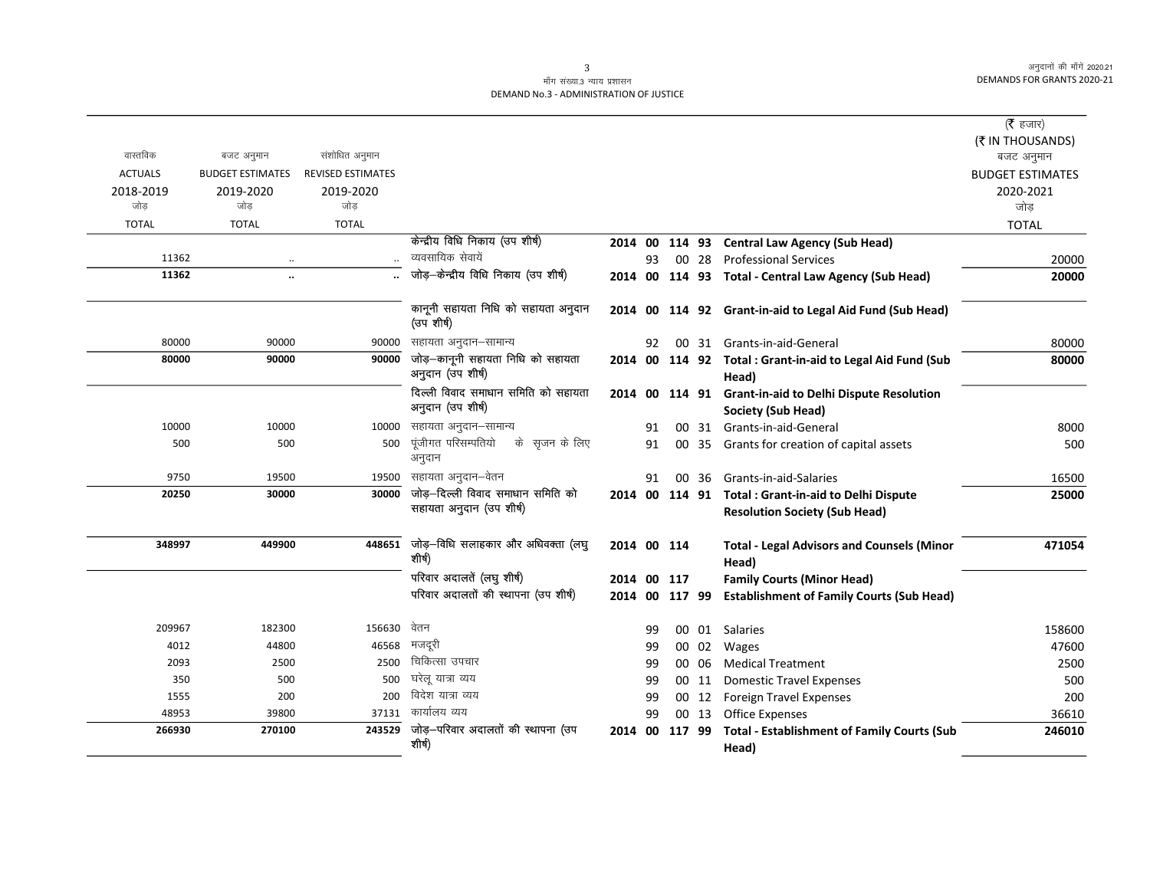### माँग संख्या.3 न्याय प्रशासन DEMAND No.3 - ADMINISTRATION OF JUSTICE

|                  |                         |                          |                                                               |             |    |        |       |                                                                                              | ( $\bar{\tau}$ हजार)    |
|------------------|-------------------------|--------------------------|---------------------------------------------------------------|-------------|----|--------|-------|----------------------------------------------------------------------------------------------|-------------------------|
| वास्तविक         |                         |                          |                                                               |             |    |        |       |                                                                                              | (₹ IN THOUSANDS)        |
|                  | बजट अनुमान              | संशोधित अनुमान           |                                                               |             |    |        |       |                                                                                              | बजट अनुमान              |
| <b>ACTUALS</b>   | <b>BUDGET ESTIMATES</b> | <b>REVISED ESTIMATES</b> |                                                               |             |    |        |       |                                                                                              | <b>BUDGET ESTIMATES</b> |
| 2018-2019<br>जोड | 2019-2020<br>जोड        | 2019-2020<br>जोड         |                                                               |             |    |        |       |                                                                                              | 2020-2021<br>जोड़       |
| <b>TOTAL</b>     | <b>TOTAL</b>            | <b>TOTAL</b>             |                                                               |             |    |        |       |                                                                                              | <b>TOTAL</b>            |
|                  |                         |                          | केन्द्रीय विधि निकाय (उप शीर्ष)                               | 2014 00     |    |        |       | 114 93 Central Law Agency (Sub Head)                                                         |                         |
| 11362            |                         |                          | व्यवसायिक सेवायें                                             |             | 93 |        | 00 28 | <b>Professional Services</b>                                                                 | 20000                   |
| 11362            | $\ddot{\phantom{a}}$    |                          | जोड़-केन्द्रीय विधि निकाय (उप शीर्ष)                          |             |    |        |       | 2014 00 114 93 Total - Central Law Agency (Sub Head)                                         | 20000                   |
|                  |                         |                          |                                                               |             |    |        |       |                                                                                              |                         |
|                  |                         |                          | कानूनी सहायता निधि को सहायता अनुदान<br>(उप शीर्ष)             |             |    |        |       | 2014 00 114 92 Grant-in-aid to Legal Aid Fund (Sub Head)                                     |                         |
| 80000            | 90000                   | 90000                    | सहायता अनुदान–सामान्य                                         |             | 92 |        |       | 00 31 Grants-in-aid-General                                                                  | 80000                   |
| 80000            | 90000                   | 90000                    | जोड़-कानूनी सहायता निधि को सहायता<br>अनुदान (उप शीर्ष)        |             |    |        |       | 2014 00 114 92 Total : Grant-in-aid to Legal Aid Fund (Sub<br>Head)                          | 80000                   |
|                  |                         |                          | दिल्ली विवाद समाधान समिति को सहायता                           |             |    |        |       | 2014 00 114 91 Grant-in-aid to Delhi Dispute Resolution                                      |                         |
|                  |                         |                          | अनुदान (उप शीर्ष)                                             |             |    |        |       | Society (Sub Head)                                                                           |                         |
| 10000            | 10000                   | 10000                    | सहायता अनुदान–सामान्य                                         |             | 91 |        |       | 00 31 Grants-in-aid-General                                                                  | 8000                    |
| 500              | 500                     | 500                      | पूंजीगत परिसम्पतियो<br>के  सृजन के लिए<br>अनुदान              |             | 91 |        |       | 00 35 Grants for creation of capital assets                                                  | 500                     |
| 9750             | 19500                   | 19500                    | सहायता अनुदान–वेतन                                            |             | 91 |        | 00 36 | Grants-in-aid-Salaries                                                                       | 16500                   |
| 20250            | 30000                   | 30000                    | जोड़–दिल्ली विवाद समाधान समिति को<br>सहायता अनुदान (उप शीर्ष) |             |    |        |       | 2014 00 114 91 Total : Grant-in-aid to Delhi Dispute<br><b>Resolution Society (Sub Head)</b> | 25000                   |
| 348997           | 449900                  | 448651                   | जोड़—विधि सलाहकार और अधिवक्ता (लघु<br>शीर्ष)                  | 2014 00 114 |    |        |       | <b>Total - Legal Advisors and Counsels (Minor</b><br>Head)                                   | 471054                  |
|                  |                         |                          | परिवार अदालतें (लघु शीर्ष)                                    | 2014 00 117 |    |        |       | <b>Family Courts (Minor Head)</b>                                                            |                         |
|                  |                         |                          | परिवार अदालतों की स्थापना (उप शीर्ष)                          |             |    |        |       | 2014 00 117 99 Establishment of Family Courts (Sub Head)                                     |                         |
| 209967           | 182300                  | 156630                   | वेतन                                                          |             | 99 |        |       | 00 01 Salaries                                                                               | 158600                  |
| 4012             | 44800                   | 46568                    | मजदूरी                                                        |             | 99 |        | 00 02 | Wages                                                                                        | 47600                   |
| 2093             | 2500                    | 2500                     | चिकित्सा उपचार                                                |             | 99 |        | 00 06 | <b>Medical Treatment</b>                                                                     | 2500                    |
| 350              | 500                     | 500                      | घरेलू यात्रा व्यय                                             |             | 99 |        | 00 11 | <b>Domestic Travel Expenses</b>                                                              | 500                     |
| 1555             | 200                     | 200                      | विदेश यात्रा व्यय                                             |             | 99 |        | 00 12 | <b>Foreign Travel Expenses</b>                                                               | 200                     |
| 48953            | 39800                   | 37131                    | कार्यालय व्यय                                                 |             | 99 |        | 00 13 | <b>Office Expenses</b>                                                                       | 36610                   |
| 266930           | 270100                  | 243529                   | जोड़—परिवार अदालतों की स्थापना (उप                            | 2014 00     |    | 117 99 |       | <b>Total - Establishment of Family Courts (Sub</b>                                           | 246010                  |
|                  |                         |                          | शीर्ष)                                                        |             |    |        |       | Head)                                                                                        |                         |

3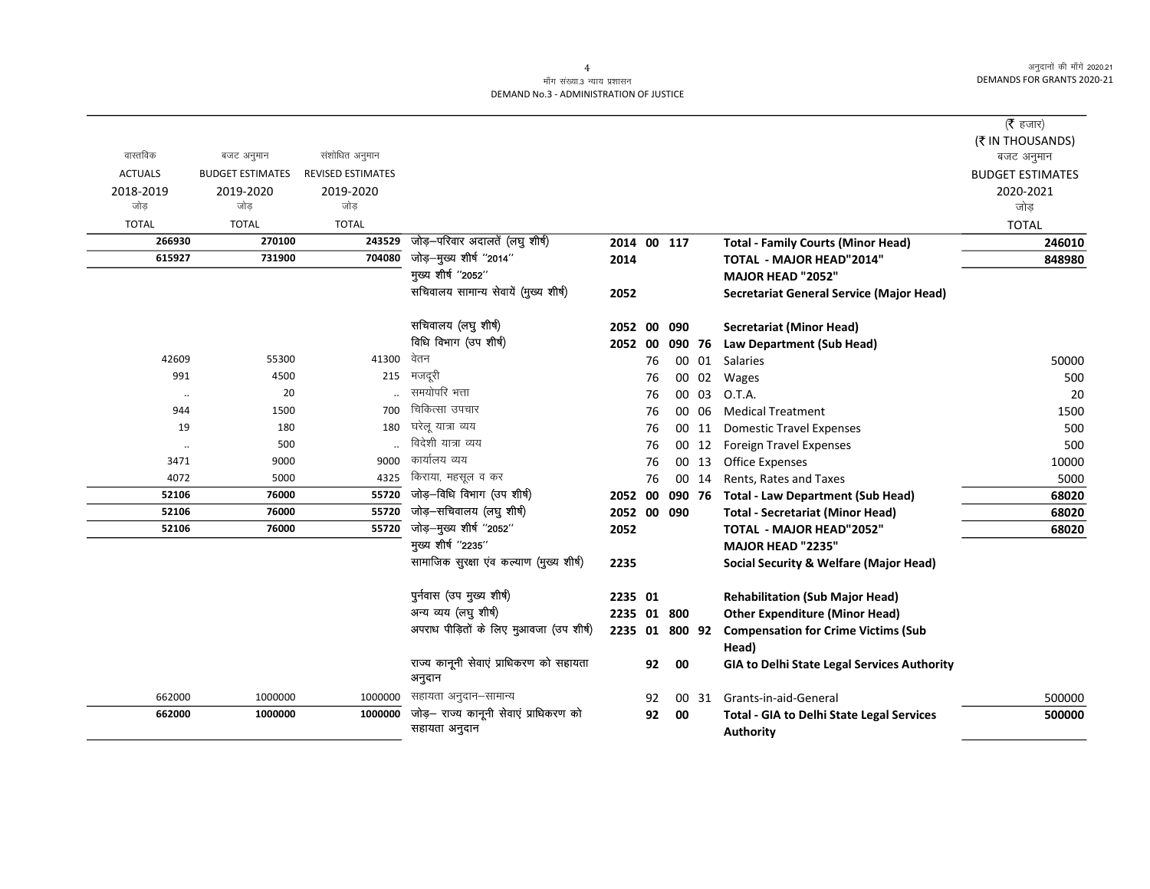$=$ 

# माँग संख्या.3 न्याय प्रशासन DEMAND No.3 - ADMINISTRATION OF JUSTICE

|                |                         |                          |                                                         |                |    |        |       |                                                                      | (रे हजार)               |
|----------------|-------------------------|--------------------------|---------------------------------------------------------|----------------|----|--------|-------|----------------------------------------------------------------------|-------------------------|
|                |                         |                          |                                                         |                |    |        |       |                                                                      | (₹ IN THOUSANDS)        |
| वास्तविक       | बजट अनुमान              | संशोधित अनुमान           |                                                         |                |    |        |       |                                                                      | बजट अनुमान              |
| <b>ACTUALS</b> | <b>BUDGET ESTIMATES</b> | <b>REVISED ESTIMATES</b> |                                                         |                |    |        |       |                                                                      | <b>BUDGET ESTIMATES</b> |
| 2018-2019      | 2019-2020               | 2019-2020                |                                                         |                |    |        |       |                                                                      | 2020-2021               |
| जोड            | जोड                     | जोड                      |                                                         |                |    |        |       |                                                                      | जोड                     |
| <b>TOTAL</b>   | <b>TOTAL</b>            | <b>TOTAL</b>             |                                                         |                |    |        |       |                                                                      | <b>TOTAL</b>            |
| 266930         | 270100                  | 243529                   | जोड़-परिवार अदालतें (लघु शीर्ष)                         | 2014 00 117    |    |        |       | <b>Total - Family Courts (Minor Head)</b>                            | 246010                  |
| 615927         | 731900                  | 704080                   | जोड़–मुख्य शीर्ष "2014"                                 | 2014           |    |        |       | <b>TOTAL - MAJOR HEAD"2014"</b>                                      | 848980                  |
|                |                         |                          | मुख्य शीर्ष "2052"                                      |                |    |        |       | <b>MAJOR HEAD "2052"</b>                                             |                         |
|                |                         |                          | सचिवालय सामान्य सेवायें (मुख्य शीर्ष)                   | 2052           |    |        |       | Secretariat General Service (Major Head)                             |                         |
|                |                         |                          | सचिवालय (लघु शीर्ष)                                     | 2052 00        |    | 090    |       | <b>Secretariat (Minor Head)</b>                                      |                         |
|                |                         |                          | विधि विभाग (उप शीर्ष)                                   | 2052 00        |    |        |       | 090 76 Law Department (Sub Head)                                     |                         |
| 42609          | 55300                   | 41300                    | वेतन                                                    |                | 76 |        | 00 01 | Salaries                                                             | 50000                   |
| 991            | 4500                    | 215                      | मजदूरी                                                  |                | 76 |        | 00 02 | Wages                                                                | 500                     |
| $\cdot\cdot$   | 20                      |                          | समयोपरि भत्ता                                           |                | 76 |        | 00 03 | O.T.A.                                                               | 20                      |
| 944            | 1500                    | 700                      | चिकित्सा उपचार                                          |                | 76 |        | 00 06 | <b>Medical Treatment</b>                                             | 1500                    |
| 19             | 180                     | 180                      | घरेलू यात्रा व्यय                                       |                | 76 |        | 00 11 | <b>Domestic Travel Expenses</b>                                      | 500                     |
| $\cdot\cdot$   | 500                     |                          | विदेशी यात्रा व्यय                                      |                | 76 |        | 00 12 | <b>Foreign Travel Expenses</b>                                       | 500                     |
| 3471           | 9000                    | 9000                     | कार्यालय व्यय                                           |                | 76 |        | 00 13 | <b>Office Expenses</b>                                               | 10000                   |
| 4072           | 5000                    | 4325                     | किराया, महसूल व कर                                      |                | 76 |        | 00 14 | Rents, Rates and Taxes                                               | 5000                    |
| 52106          | 76000                   | 55720                    | जोड़-विधि विभाग (उप शीर्ष)                              | 2052 00        |    | 090 76 |       | <b>Total - Law Department (Sub Head)</b>                             | 68020                   |
| 52106          | 76000                   | 55720                    | जोड़-सचिवालय (लघु शीर्ष)                                | 2052 00 090    |    |        |       | <b>Total - Secretariat (Minor Head)</b>                              | 68020                   |
| 52106          | 76000                   | 55720                    | जोड़-मुख्य शीर्ष "2052"                                 | 2052           |    |        |       | <b>TOTAL - MAJOR HEAD"2052"</b>                                      | 68020                   |
|                |                         |                          | मुख्य शीर्ष "2235"                                      |                |    |        |       | <b>MAJOR HEAD "2235"</b>                                             |                         |
|                |                         |                          | सामाजिक सुरक्षा एव कल्याण (मुख्य शीर्ष)                 | 2235           |    |        |       | <b>Social Security &amp; Welfare (Major Head)</b>                    |                         |
|                |                         |                          | पुर्नवास (उप मुख्य शीर्ष)                               | 2235 01        |    |        |       | <b>Rehabilitation (Sub Major Head)</b>                               |                         |
|                |                         |                          | अन्य व्यय (लघु शीर्ष)                                   | 2235 01 800    |    |        |       | <b>Other Expenditure (Minor Head)</b>                                |                         |
|                |                         |                          | अपराध पीड़ितों के लिए मुआवजा (उप शीर्ष)                 | 2235 01 800 92 |    |        |       | <b>Compensation for Crime Victims (Sub</b><br>Head)                  |                         |
|                |                         |                          | राज्य कानूनी सेवाएं प्राधिकरण को सहायता<br>अनुदान       |                | 92 | 00     |       | GIA to Delhi State Legal Services Authority                          |                         |
| 662000         | 1000000                 | 1000000                  | सहायता अनुदान–सामान्य                                   |                | 92 |        | 00 31 | Grants-in-aid-General                                                | 500000                  |
| 662000         | 1000000                 | 1000000                  | जोड़— राज्य कानूनी सेवाएं प्राधिकरण को<br>सहायता अनुदान |                | 92 | 00     |       | <b>Total - GIA to Delhi State Legal Services</b><br><b>Authority</b> | 500000                  |